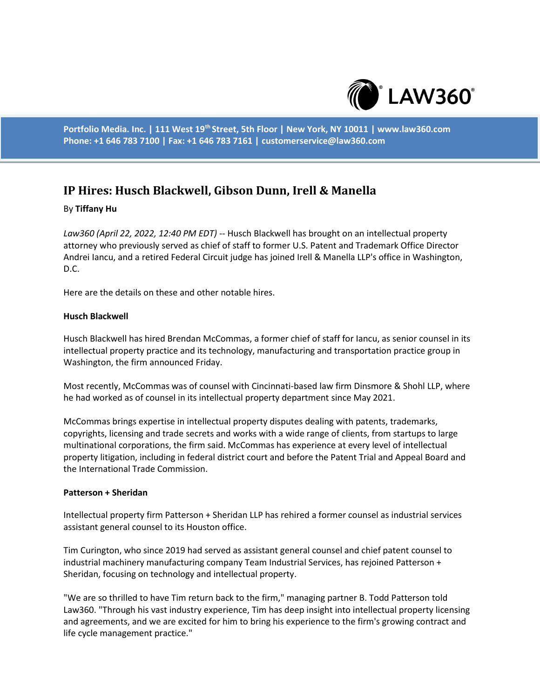

**Portfolio Media. Inc. | 111 West 19th Street, 5th Floor | New York, NY 10011 | www.law360.com Phone: +1 646 783 7100 | Fax: +1 646 783 7161 | customerservice@law360.com**

# **IP Hires: Husch Blackwell, Gibson Dunn, Irell & Manella**

## By **Tiffany Hu**

*Law360 (April 22, 2022, 12:40 PM EDT)* -- Husch Blackwell has brought on an intellectual property attorney who previously served as chief of staff to former U.S. Patent and Trademark Office Director Andrei Iancu, and a retired Federal Circuit judge has joined Irell & Manella LLP's office in Washington, D.C.

Here are the details on these and other notable hires.

### **Husch Blackwell**

Husch Blackwell has hired Brendan McCommas, a former chief of staff for Iancu, as senior counsel in its intellectual property practice and its technology, manufacturing and transportation practice group in Washington, the firm announced Friday.

Most recently, McCommas was of counsel with Cincinnati-based law firm Dinsmore & Shohl LLP, where he had worked as of counsel in its intellectual property department since May 2021.

McCommas brings expertise in intellectual property disputes dealing with patents, trademarks, copyrights, licensing and trade secrets and works with a wide range of clients, from startups to large multinational corporations, the firm said. McCommas has experience at every level of intellectual property litigation, including in federal district court and before the Patent Trial and Appeal Board and the International Trade Commission.

### **Patterson + Sheridan**

Intellectual property firm Patterson + Sheridan LLP has rehired a former counsel as industrial services assistant general counsel to its Houston office.

Tim Curington, who since 2019 had served as assistant general counsel and chief patent counsel to industrial machinery manufacturing company Team Industrial Services, has rejoined Patterson + Sheridan, focusing on technology and intellectual property.

"We are so thrilled to have Tim return back to the firm," managing partner B. Todd Patterson told Law360. "Through his vast industry experience, Tim has deep insight into intellectual property licensing and agreements, and we are excited for him to bring his experience to the firm's growing contract and life cycle management practice."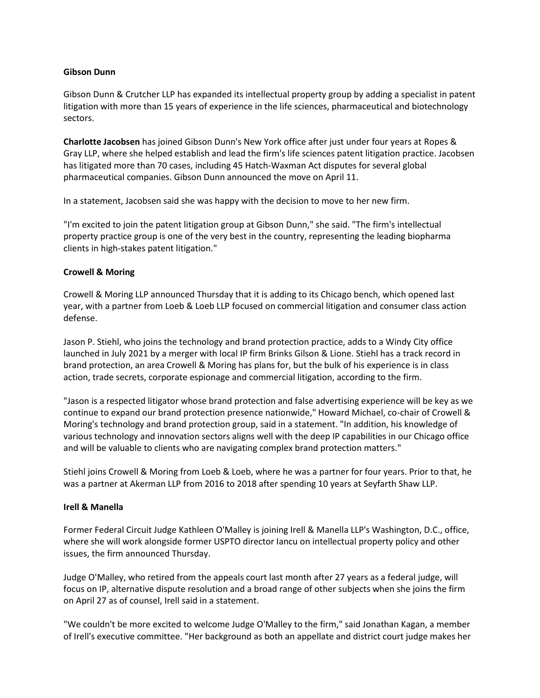# **Gibson Dunn**

Gibson Dunn & Crutcher LLP has expanded its intellectual property group by adding a specialist in patent litigation with more than 15 years of experience in the life sciences, pharmaceutical and biotechnology sectors.

**Charlotte Jacobsen** has joined Gibson Dunn's New York office after just under four years at Ropes & Gray LLP, where she helped establish and lead the firm's life sciences patent litigation practice. Jacobsen has litigated more than 70 cases, including 45 Hatch-Waxman Act disputes for several global pharmaceutical companies. Gibson Dunn announced the move on April 11.

In a statement, Jacobsen said she was happy with the decision to move to her new firm.

"I'm excited to join the patent litigation group at Gibson Dunn," she said. "The firm's intellectual property practice group is one of the very best in the country, representing the leading biopharma clients in high-stakes patent litigation."

## **Crowell & Moring**

Crowell & Moring LLP announced Thursday that it is adding to its Chicago bench, which opened last year, with a partner from Loeb & Loeb LLP focused on commercial litigation and consumer class action defense.

Jason P. Stiehl, who joins the technology and brand protection practice, adds to a Windy City office launched in July 2021 by a merger with local IP firm Brinks Gilson & Lione. Stiehl has a track record in brand protection, an area Crowell & Moring has plans for, but the bulk of his experience is in class action, trade secrets, corporate espionage and commercial litigation, according to the firm.

"Jason is a respected litigator whose brand protection and false advertising experience will be key as we continue to expand our brand protection presence nationwide," Howard Michael, co-chair of Crowell & Moring's technology and brand protection group, said in a statement. "In addition, his knowledge of various technology and innovation sectors aligns well with the deep IP capabilities in our Chicago office and will be valuable to clients who are navigating complex brand protection matters."

Stiehl joins Crowell & Moring from Loeb & Loeb, where he was a partner for four years. Prior to that, he was a partner at Akerman LLP from 2016 to 2018 after spending 10 years at Seyfarth Shaw LLP.

### **Irell & Manella**

Former Federal Circuit Judge Kathleen O'Malley is joining Irell & Manella LLP's Washington, D.C., office, where she will work alongside former USPTO director Iancu on intellectual property policy and other issues, the firm announced Thursday.

Judge O'Malley, who retired from the appeals court last month after 27 years as a federal judge, will focus on IP, alternative dispute resolution and a broad range of other subjects when she joins the firm on April 27 as of counsel, Irell said in a statement.

"We couldn't be more excited to welcome Judge O'Malley to the firm," said Jonathan Kagan, a member of Irell's executive committee. "Her background as both an appellate and district court judge makes her